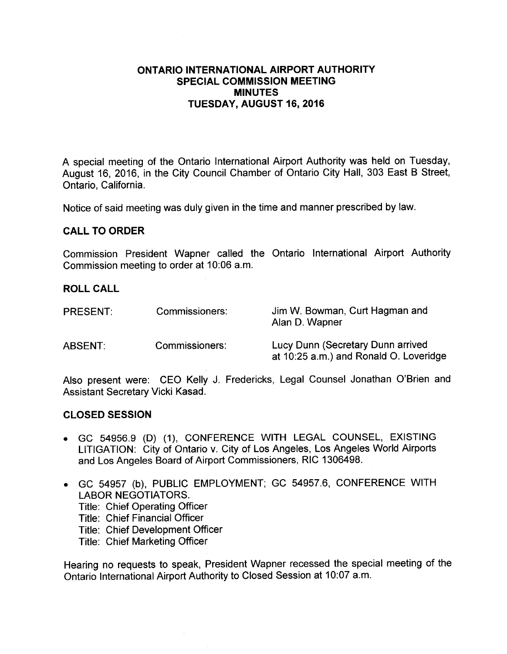### ONTARIO INTERNATIONAL AIRPORT AUTHORITY SPECIAL COMMISSION MEETING MINUTES TUESDAY, AUGUST 16, 2016

A special meeting of the Ontario International Airport Authority was held on Tuesday, August 16, 2016, in the City Council Chamber of Ontario City Hall, 303 East B Street, Ontario, California.

Notice of said meeting was duly given in the time and manner prescribed by law.

#### CALL TO ORDER

Commission President Wapner called the Ontario International Airport Authority Commission meeting to order at 10:06 a.m.

#### ROLL CALL

| <b>PRESENT:</b> | Commissioners: | Jim W. Bowman, Curt Hagman and<br>Alan D. Wapner                            |
|-----------------|----------------|-----------------------------------------------------------------------------|
| ABSENT:         | Commissioners: | Lucy Dunn (Secretary Dunn arrived<br>at 10:25 a.m.) and Ronald O. Loveridge |

Also present were: CEO Kelly J. Fredericks, Legal Counsel Jonathan O'Brien and Assistant Secretary Vicki Kasad.

#### CLOSED SESSION

- GC 54956.9 (D) (1), CONFERENCE WITH LEGAL COUNSEL, EXISTING LITIGATION: City of Ontario v. City of Los Angeles, Los Angeles World Airports and Los Angeles Board of Airport Commissioners, RIC 1306498.
- GC 54957 (b), PUBLIC EMPLOYMENT; GC 54957.6, CONFERENCE WITH LABOR NEGOTIATORS. Title: Chief Operating Officer Title: Chief Financial Officer Title: Chief Development Officer Title: Chief Marketing Officer

Hearing no requests to speak, President Wapner recessed the special meeting of the Ontario International Airport Authority to Closed Session at 10:07 a.m.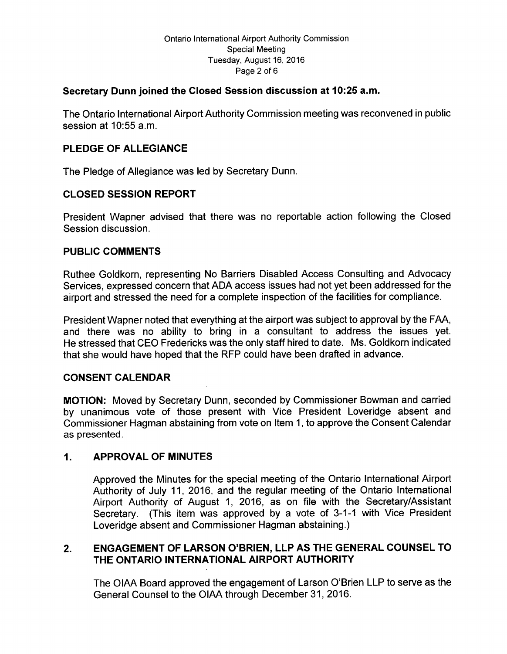### Secretary Dunn joined the Closed Session discussion at 10:25 a.m.

The Ontario International Airport Authority Commission meeting was reconvened in public session at  $10:55$  a.m.

# PLEDGE OF ALLEGIANCE

The Pledge of Allegiance was led by Secretary Dunn.

# CLOSED SESSION REPORT

President Wapner advised that there was no reportable action following the Closed Session discussion.

# PUBLIC COMMENTS

Ruthee Goldkorn, representing No Barriers Disabled Access Consulting and Advocacy Services, expressed concern that ADA access issues had not yet been addressed for the airport and stressed the need for a complete inspection of the facilities for compliance.

President Wapner noted that everything at the airport was subject to approval by the FAA, and there was no ability to bring in <sup>a</sup> consultant to address the issues yet. He stressed that CEO Fredericks was the only staff hired to date. Ms. Goldkorn indicated that she would have hoped that the RFP could have been drafted in advance.

# CONSENT CALENDAR

MOTION: Moved by Secretary Dunn, seconded by Commissioner Bowman and carried by unanimous vote of those present with Vice President Loveridge absent and Commissioner Hagman abstaining from vote on Item 1, to approve the Consent Calendar as presented.

### 1. APPROVAL OF MINUTES

Approved the Minutes for the special meeting of the Ontario International Airport Authority of July 11, 2016, and the regular meeting of the Ontario International Airport Authority of August 1, 2016, as on file with the Secretary/Assistant Secretary. (This item was approved by a vote of 3-1-1 with Vice President Loveridge absent and Commissioner Hagman abstaining.)

# 2. ENGAGEMENT OF LARSON O'BRIEN, LLP AS THE GENERAL COUNSEL TO THE ONTARIO INTERNATIONAL AIRPORT AUTHORITY

The OIAA Board approved the engagement of Larson O'Brien LLP to serve as the General Counsel to the OIAA through December 31, 2016.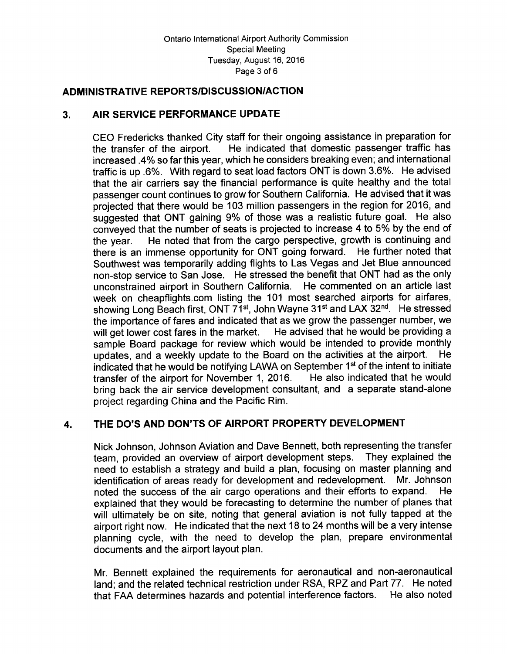### ADMINISTRATIVE REPORTS/DISCUSSION/ACTION

# 3. AIR SERVICE PERFORMANCE UPDATE

CEO Fredericks thanked City staff for their ongoing assistance in preparation for<br>the transfer of the airport. He indicated that domestic passenger traffic has He indicated that domestic passenger traffic has increased . 4% so far this year, which he considers breaking even; and international traffic is up .6%. With regard to seat load factors ONT is down 3.6%. He advised that the air carriers say the financial performance is quite healthy and the total passenger count continues to grow for Southern California. He advised that it was projected that there would be 103 million passengers in the region for 2016, and suggested that ONT gaining 9% of those was <sup>a</sup> realistic future goal. He also conveyed that the number of seats is projected to increase 4 to 5% by the end of the year. He noted that from the cargo perspective, growth is continuing and there is an immense opportunity for ONT going forward. He further noted that Southwest was temporarily adding flights to Las Vegas and Jet Blue announced non- stop service to San Jose. He stressed the benefit that ONT had as the only unconstrained airport in Southern California. He commented on an article last week on cheapflights.com listing the 101 most searched airports for airfares, showing Long Beach first, ONT 71<sup>st</sup>, John Wayne 31<sup>st</sup> and LAX 32<sup>nd</sup>. He stressed the importance of fares and indicated that as we grow the passenger number, we will get lower cost fares in the market. He advised that he would be providing a sample Board package for review which would be intended to provide monthly undates and a weekly undate to the Board on the activities at the airport. He updates, and a weekly update to the Board on the activities at the airport. indicated that he would be notifying LAWA on September  $1<sup>st</sup>$  of the intent to initiate transfer of the airport for November 1, 2016. He also indicated that he would transfer of the airport for November 1, 2016. bring back the air service development consultant, and a separate stand-alone project regarding China and the Pacific Rim.

# 4. THE DO'S AND DON'TS OF AIRPORT PROPERTY DEVELOPMENT

Nick Johnson, Johnson Aviation and Dave Bennett, both representing the transfer<br>team provided an overview of airport development steps. They explained the team, provided an overview of airport development steps. need to establish a strategy and build a plan, focusing on master planning and identification of areas ready for development and redevelopment. Mr. Johnson identification of areas ready for development and redevelopment. noted the success of the air cargo operations and their efforts to expand. explained that they would be forecasting to determine the number of planes that will ultimately be on site, noting that general aviation is not fully tapped at the airport right now. He indicated that the next 18 to 24 months will be a very intense planning cycle, with the need to develop the plan, prepare environmental documents and the airport layout plan.

Mr. Bennett explained the requirements for aeronautical and non -aeronautical land; and the related technical restriction under RSA, RPZ and Part 77. He noted that FAA determines hazards and potential interference factors. He also noted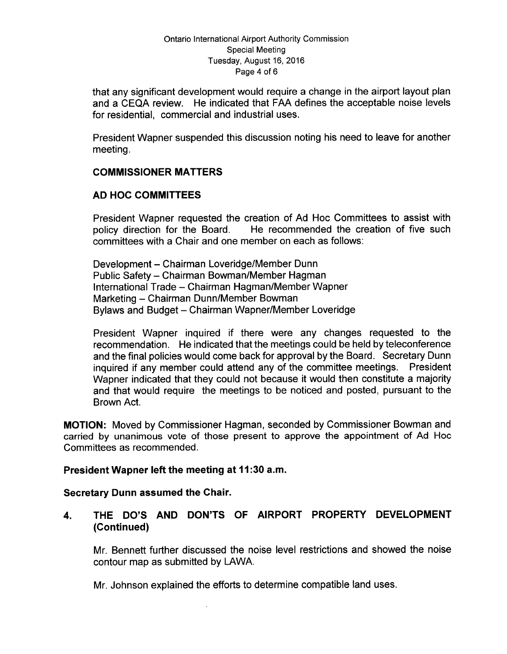#### Ontario International Airport Authority Commission Special Meeting Tuesday, August 16, 2016 Page 4 of 6

that any significant development would require a change in the airport layout plan and a CEQA review. He indicated that FAA defines the acceptable noise levels for residential, commercial and industrial uses.

President Wapner suspended this discussion noting his need to leave for another meeting.

# COMMISSIONER MATTERS

### AD HOC COMMITTEES

President Wapner requested the creation of Ad Hoc Committees to assist with policy direction for the Board. He recommended the creation of five such committees with a Chair and one member on each as follows:

Development – Chairman Loveridge/Member Dunn Public Safety – Chairman Bowman/Member Hagman International Trade – Chairman Hagman/Member Wapner Marketing - Chairman Dunn/Member Bowman Bylaws and Budget – Chairman Wapner/Member Loveridge

President Wapner inquired if there were any changes requested to the recommendation. He indicated that the meetings could be held by teleconference and the final policies would come back for approval by the Board. Secretary Dunn inquired if any member could attend any of the committee meetings. President Wapner indicated that they could not because it would then constitute a majority and that would require the meetings to be noticed and posted, pursuant to the Brown Act.

MOTION: Moved by Commissioner Hagman, seconded by Commissioner Bowman and carried by unanimous vote of those present to approve the appointment of Ad Hoc Committees as recommended.

#### President Wapner left the meeting at 11:30 a.m.

#### Secretary Dunn assumed the Chair.

4. THE DO'S AND DON'TS OF AIRPORT PROPERTY DEVELOPMENT Continued)

Mr. Bennett further discussed the noise level restrictions and showed the noise contour map as submitted by LAWA.

Mr. Johnson explained the efforts to determine compatible land uses.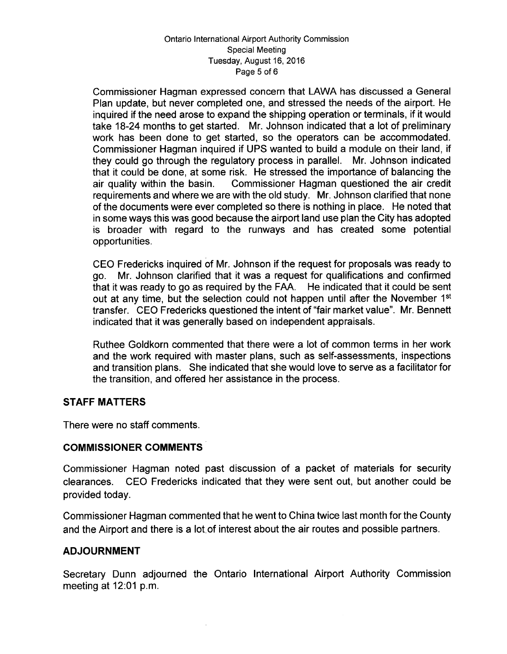#### Ontario International Airport Authority Commission Special Meeting Tuesday, August 16, 2016 Page 5 of 6

Commissioner Hagman expressed concern that LAWA has discussed a General Plan update, but never completed one, and stressed the needs of the airport. He inquired if the need arose to expand the shipping operation or terminals, if it would take 18-24 months to get started. Mr. Johnson indicated that a lot of preliminary work has been done to get started, so the operators can be accommodated. Commissioner Hagman inquired if UPS wanted to build a module on their land, if they could go through the regulatory process in parallel. Mr. Johnson indicated that it could be done, at some risk. He stressed the importance of balancing the air credit<br>air quality within the basin. Commissioner Hagman questioned the air credit Commissioner Hagman questioned the air credit requirements and where we are with the old study. Mr. Johnson clarified that none of the documents were ever completed so there is nothing in place. He noted that in some ways this was good because the airport land use plan the City has adopted is broader with regard to the runways and has created some potential opportunities.

CEO Fredericks inquired of Mr. Johnson if the request for proposals was ready to go. Mr. Johnson clarified that it was a request for qualifications and confirmed that it was ready to go as required by the FAA. He indicated that it could be sent out at any time, but the selection could not happen until after the November 1<sup>st</sup> transfer. CEO Fredericks questioned the intent of "fair market value". Mr. Bennett indicated that it was generally based on independent appraisals.

Ruthee Goldkorn commented that there were a lot of common terms in her work and the work required with master plans, such as self-assessments, inspections and transition plans. She indicated that she would love to serve as a facilitator for the transition, and offered her assistance in the process.

### STAFF MATTERS

There were no staff comments.

### COMMISSIONER COMMENTS

Commissioner Hagman noted past discussion of a packet of materials for security clearances. CEO Fredericks indicated that they were sent out, but another could be provided today.

Commissioner Hagman commented that he went to China twice last month for the County and the Airport and there is a lot.of interest about the air routes and possible partners.

### ADJOURNMENT

Secretary Dunn adjourned the Ontario International Airport Authority Commission meeting at  $12:01$  p.m.